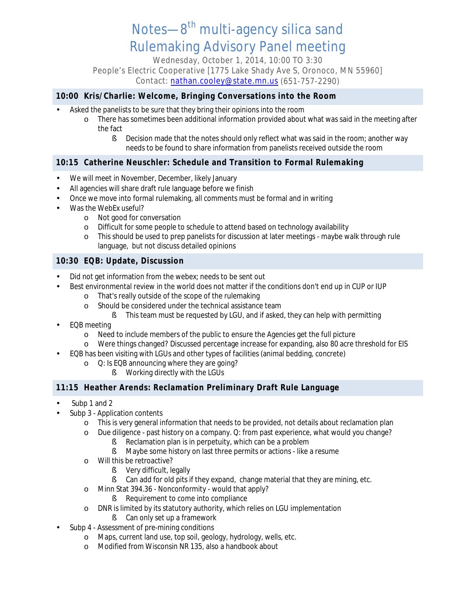Notes-8<sup>th</sup> multi-agency silica sand Rulemaking Advisory Panel meeting

Wednesday, October 1, 2014, 10:00 TO 3:30

People's Electric Cooperative [1775 Lake Shady Ave S, Oronoco, MN 55960] Contact: [nathan.cooley@state.mn.us](mailto:Nathan.Cooley@state.mn.us) (651-757-2290)

# **10:00 Kris/Charlie: Welcome, Bringing Conversations into the Room**

- Asked the panelists to be sure that they bring their opinions into the room
	- o There has sometimes been additional information provided about what was said in the meeting after the fact
		- § Decision made that the notes should only reflect what was said in the room; another way needs to be found to share information from panelists received outside the room

# **10:15 Catherine Neuschler: Schedule and Transition to Formal Rulemaking**

- We will meet in November, December, likely January
- All agencies will share draft rule language before we finish
- Once we move into formal rulemaking, all comments must be formal and in writing
- Was the WebEx useful?
	- o Not good for conversation
	- o Difficult for some people to schedule to attend based on technology availability
	- o This should be used to prep panelists for discussion at later meetings maybe walk through rule language, but not discuss detailed opinions

# **10:30 EQB: Update, Discussion**

- Did not get information from the webex; needs to be sent out
- Best environmental review in the world does not matter if the conditions don't end up in CUP or IUP
	- o That's really outside of the scope of the rulemaking
	- o Should be considered under the technical assistance team
		- § This team must be requested by LGU, and if asked, they can help with permitting
- EQB meeting
	- o Need to include members of the public to ensure the Agencies get the full picture
	- o Were things changed? Discussed percentage increase for expanding, also 80 acre threshold for EIS
- EQB has been visiting with LGUs and other types of facilities (animal bedding, concrete)
	- o Q: Is EQB announcing where they are going?
		- § Working directly with the LGUs

### **11:15 Heather Arends: Reclamation Preliminary Draft Rule Language**

- Subp 1 and 2
- Subp 3 Application contents
	- o This is very general information that needs to be provided, not details about reclamation plan
	- o Due diligence past history on a company. Q: from past experience, what would you change?
		- § Reclamation plan is in perpetuity, which can be a problem
		- § Maybe some history on last three permits or actions like a resume
	- o Will this be retroactive?
		- § Very difficult, legally
		- § Can add for old pits if they expand, change material that they are mining, etc.
	- o Minn Stat 394.36 Nonconformity would that apply?
		- § Requirement to come into compliance
	- o DNR is limited by its statutory authority, which relies on LGU implementation
		- § Can only set up a framework
- Subp 4 Assessment of pre-mining conditions
	- o Maps, current land use, top soil, geology, hydrology, wells, etc.
	- o Modified from Wisconsin NR 135, also a handbook about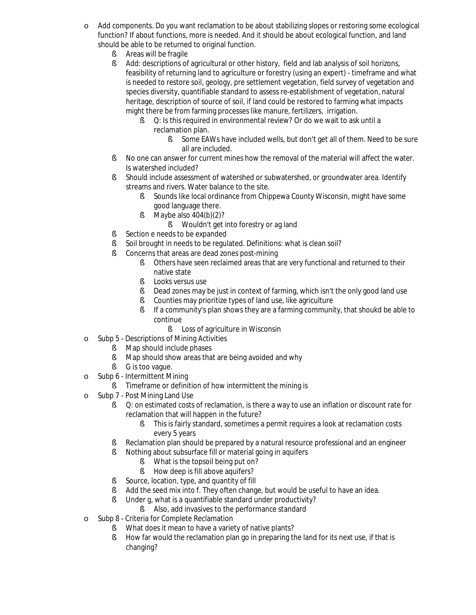- o Add components. Do you want reclamation to be about stabilizing slopes or restoring some ecological function? If about functions, more is needed. And it should be about ecological function, and land should be able to be returned to original function.
	- **§** Areas will be fragile
	- § Add: descriptions of agricultural or other history, field and lab analysis of soil horizons, feasibility of returning land to agriculture or forestry (using an expert) - timeframe and what is needed to restore soil, geology, pre settlement vegetation, field survey of vegetation and species diversity, quantifiable standard to assess re-establishment of vegetation, natural heritage, description of source of soil, if land could be restored to farming what impacts might there be from farming processes like manure, fertilizers, irrigation.
		- § O: Is this required in environmental review? Or do we wait to ask until a reclamation plan.
			- § Some EAWs have included wells, but don't get all of them. Need to be sure all are included.
	- § No one can answer for current mines how the removal of the material will affect the water. Is watershed included?
	- § Should include assessment of watershed or subwatershed, or groundwater area. Identify streams and rivers. Water balance to the site.
		- § Sounds like local ordinance from Chippewa County Wisconsin, might have some good language there.
		- $\bullet$  Maybe also 404(b)(2)?
			- § Wouldn't get into forestry or ag land
	- § Section e needs to be expanded
	- § Soil brought in needs to be regulated. Definitions: what is clean soil?
	- § Concerns that areas are dead zones post-mining
		- § Others have seen reclaimed areas that are very functional and returned to their native state
		- **§** Looks versus use
		- § Dead zones may be just in context of farming, which isn't the only good land use
		- **§** Counties may prioritize types of land use, like agriculture
		- § If a community's plan shows they are a farming community, that shoukd be able to continue
			- § Loss of agriculture in Wisconsin
- o Subp 5 Descriptions of Mining Activities
	- **§** Map should include phases
	- § Map should show areas that are being avoided and why
	- § G is too vaque.
- o Subp 6 Intermittent Mining
	- **§** Timeframe or definition of how intermittent the mining is
- o Subp 7 Post Mining Land Use
	- § O: on estimated costs of reclamation, is there a way to use an inflation or discount rate for reclamation that will happen in the future?
		- § This is fairly standard, sometimes a permit requires a look at reclamation costs every 5 years
	- § Reclamation plan should be prepared by a natural resource professional and an engineer
	- § Nothing about subsurface fill or material going in aquifers
		- § What is the topsoil being put on?
		- **§** How deep is fill above aquifers?
	- § Source, location, type, and quantity of fill
	- § Add the seed mix into f. They often change, but would be useful to have an idea.
	- § Under q, what is a quantifiable standard under productivity?
		- § Also, add invasives to the performance standard
- o Subp 8 Criteria for Complete Reclamation
	- § What does it mean to have a variety of native plants?
	- § How far would the reclamation plan go in preparing the land for its next use, if that is changing?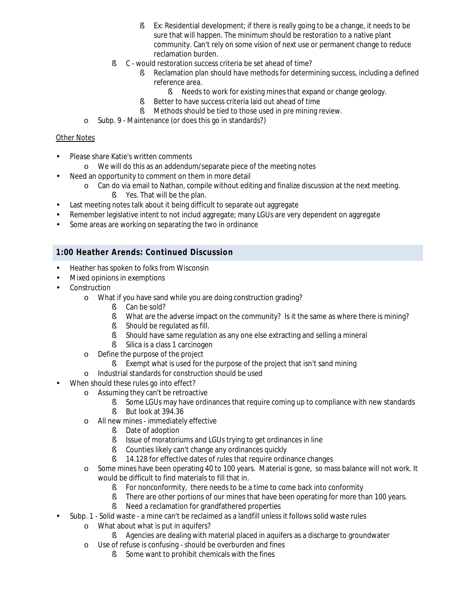- **§** Ex: Residential development; if there is really going to be a change, it needs to be sure that will happen. The minimum should be restoration to a native plant community. Can't rely on some vision of next use or permanent change to reduce reclamation burden.
- § C would restoration success criteria be set ahead of time?
	- § Reclamation plan should have methods for determining success, including a defined reference area.
		- § Needs to work for existing mines that expand or change geology.
	- § Better to have success criteria laid out ahead of time
	- § Methods should be tied to those used in pre mining review.
- o Subp. 9 Maintenance (or does this go in standards?)

#### Other Notes

- Please share Katie's written comments
	- o We will do this as an addendum/separate piece of the meeting notes
	- Need an opportunity to comment on them in more detail
		- o Can do via email to Nathan, compile without editing and finalize discussion at the next meeting.
			- § Yes. That will be the plan.
- Last meeting notes talk about it being difficult to separate out aggregate
- Remember legislative intent to not includ aggregate; many LGUs are very dependent on aggregate
- Some areas are working on separating the two in ordinance

### **1:00 Heather Arends: Continued Discussion**

- Heather has spoken to folks from Wisconsin
- Mixed opinions in exemptions
- Construction
	- o What if you have sand while you are doing construction grading?
		- § Can be sold?
		- § What are the adverse impact on the community? Is it the same as where there is mining?
		- § Should be regulated as fill.
		- § Should have same regulation as any one else extracting and selling a mineral
		- § Silica is a class 1 carcinogen
	- o Define the purpose of the project
		- § Exempt what is used for the purpose of the project that isn't sand mining
	- o Industrial standards for construction should be used
- When should these rules go into effect?
	- o Assuming they can't be retroactive
		- § Some LGUs may have ordinances that require coming up to compliance with new standards § But look at 394.36
	- o All new mines immediately effective
		- § Date of adoption
		- § Issue of moratoriums and LGUs trying to get ordinances in line
		- **§** Counties likely can't change any ordinances quickly
		- § 14.128 for effective dates of rules that require ordinance changes
	- o Some mines have been operating 40 to 100 years. Material is gone, so mass balance will not work. It would be difficult to find materials to fill that in.
		- § For nonconformity, there needs to be a time to come back into conformity
		- **§** There are other portions of our mines that have been operating for more than 100 years.
		- § Need a reclamation for grandfathered properties
- Subp. 1 Solid waste a mine can't be reclaimed as a landfill unless it follows solid waste rules
	- o What about what is put in aquifers?
		- § Agencies are dealing with material placed in aquifers as a discharge to groundwater
	- o Use of refuse is confusing should be overburden and fines
		- § Some want to prohibit chemicals with the fines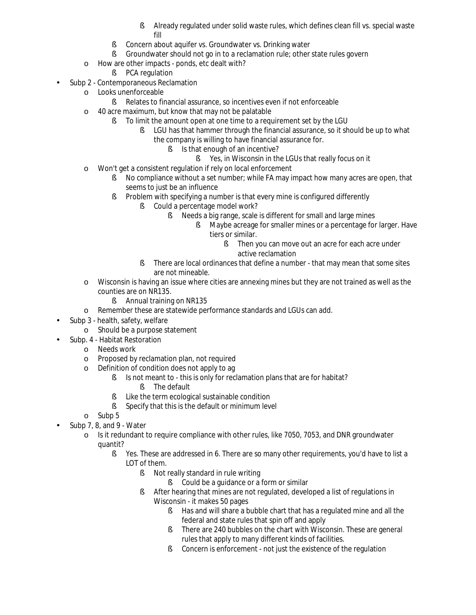- § Already regulated under solid waste rules, which defines clean fill vs. special waste fill
- § Concern about aquifer vs. Groundwater vs. Drinking water
- § Groundwater should not go in to a reclamation rule; other state rules govern
- o How are other impacts ponds, etc dealt with?
	- § PCA regulation
- Subp 2 Contemporaneous Reclamation
	- o Looks unenforceable
		- § Relates to financial assurance, so incentives even if not enforceable
	- o 40 acre maximum, but know that may not be palatable
		- § To limit the amount open at one time to a requirement set by the LGU
			- **§** LGU has that hammer through the financial assurance, so it should be up to what the company is willing to have financial assurance for.
				- § Is that enough of an incentive?
					- § Yes, in Wisconsin in the LGUs that really focus on it
	- o Won't get a consistent regulation if rely on local enforcement
		- § No compliance without a set number; while FA may impact how many acres are open, that seems to just be an influence
		- § Problem with specifying a number is that every mine is configured differently
			- § Could a percentage model work?
				- § Needs a big range, scale is different for small and large mines
					- § Maybe acreage for smaller mines or a percentage for larger. Have tiers or similar.
						- § Then you can move out an acre for each acre under active reclamation
			- § There are local ordinances that define a number that may mean that some sites are not mineable.
	- o Wisconsin is having an issue where cities are annexing mines but they are not trained as well as the counties are on NR135.
		- **§** Annual training on NR135
	- o Remember these are statewide performance standards and LGUs can add.
- Subp 3 health, safety, welfare  $\ddot{\phantom{a}}$ 
	- o Should be a purpose statement
- Subp. 4 Habitat Restoration
	- o Needs work
	- o Proposed by reclamation plan, not required
	- o Definition of condition does not apply to ag
		- § Is not meant to this is only for reclamation plans that are for habitat?
			- § The default
		- § Like the term ecological sustainable condition
		- § Specify that this is the default or minimum level
	- o Subp 5
- Subp 7, 8, and 9 Water l.
	- o Is it redundant to require compliance with other rules, like 7050, 7053, and DNR groundwater quantit?
		- § Yes. These are addressed in 6. There are so many other requirements, you'd have to list a LOT of them.
			- § Not really standard in rule writing
				- § Could be a guidance or a form or similar
			- § After hearing that mines are not regulated, developed a list of regulations in Wisconsin - it makes 50 pages
				- § Has and will share a bubble chart that has a regulated mine and all the federal and state rules that spin off and apply
				- § There are 240 bubbles on the chart with Wisconsin. These are general rules that apply to many different kinds of facilities.
				- **§** Concern is enforcement not just the existence of the regulation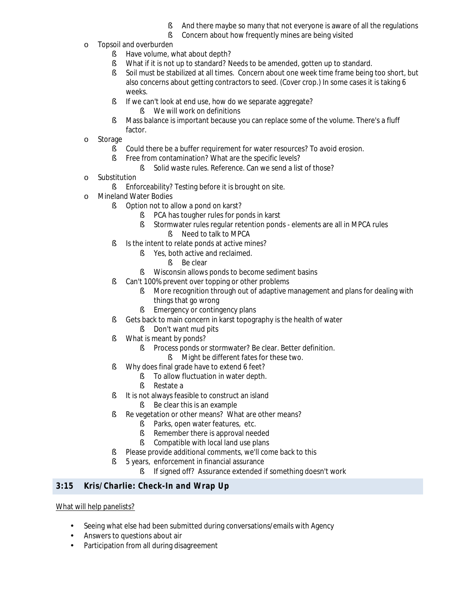- And there maybe so many that not everyone is aware of all the regulations
- **§** Concern about how frequently mines are being visited
- o Topsoil and overburden
	- § Have volume, what about depth?
	- § What if it is not up to standard? Needs to be amended, gotten up to standard.
	- § Soil must be stabilized at all times. Concern about one week time frame being too short, but also concerns about getting contractors to seed. (Cover crop.) In some cases it is taking 6 weeks.
	- § If we can't look at end use, how do we separate aggregate?
		- § We will work on definitions
	- § Mass balance is important because you can replace some of the volume. There's a fluff factor.
- o Storage
	- § Could there be a buffer requirement for water resources? To avoid erosion.
	- § Free from contamination? What are the specific levels?
		- § Solid waste rules. Reference. Can we send a list of those?
- o Substitution
	- **§** Enforceability? Testing before it is brought on site.
- o Mineland Water Bodies
	- § Option not to allow a pond on karst?
		- § PCA has tougher rules for ponds in karst
		- § Stormwater rules regular retention ponds elements are all in MPCA rules
			- § Need to talk to MPCA
	- § Is the intent to relate ponds at active mines?
		- § Yes, both active and reclaimed.
			- § Be clear
		- **§** Wisconsin allows ponds to become sediment basins
	- § Can't 100% prevent over topping or other problems
		- **§** More recognition through out of adaptive management and plans for dealing with things that go wrong
		- **§** Emergency or contingency plans
	- § Gets back to main concern in karst topography is the health of water
		- § Don't want mud pits
	- § What is meant by ponds?
		- **§** Process ponds or stormwater? Be clear. Better definition.
			- **§** Might be different fates for these two.
	- § Why does final grade have to extend 6 feet?
		- § To allow fluctuation in water depth.
		- § Restate a
	- § It is not always feasible to construct an island
		- § Be clear this is an example
	- § Re vegetation or other means? What are other means?
		- § Parks, open water features, etc.
		- § Remember there is approval needed
		- § Compatible with local land use plans
	- § Please provide additional comments, we'll come back to this
	- § 5 years, enforcement in financial assurance
		- § If signed off? Assurance extended if something doesn't work

# **3:15 Kris/Charlie: Check-In and Wrap Up**

#### What will help panelists?

- Seeing what else had been submitted during conversations/emails with Agency
- Answers to questions about air
- Participation from all during disagreementä,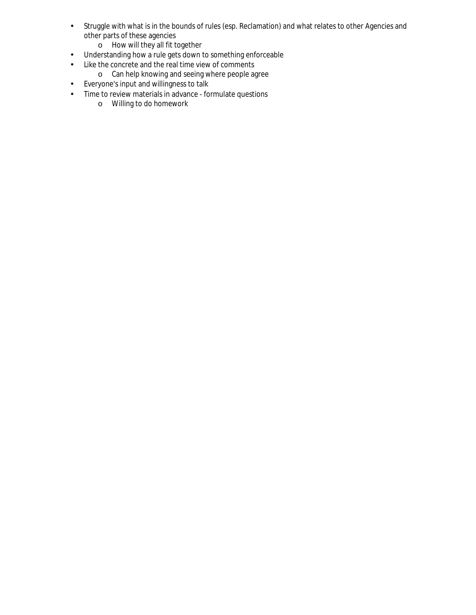- Struggle with what is in the bounds of rules (esp. Reclamation) and what relates to other Agencies and  $\hat{\mathbf{r}}$ other parts of these agencies
	- o How will they all fit together
- Understanding how a rule gets down to something enforceable k,
- Like the concrete and the real time view of comments  $\blacksquare$
- o Can help knowing and seeing where people agree
- Everyone's input and willingness to talk  $\epsilon$
- Time to review materials in advance formulate questions  $\Box$ 
	- o Willing to do homework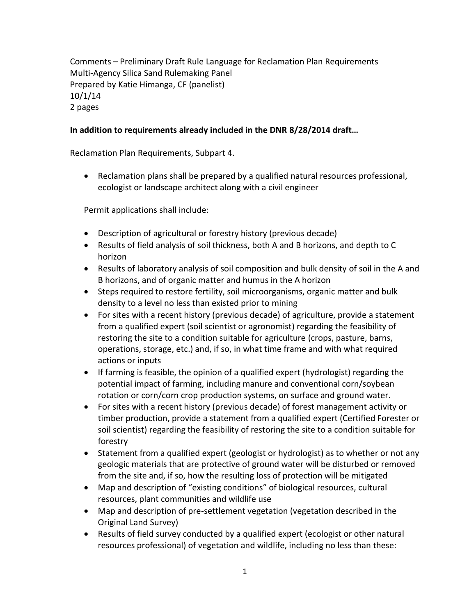Comments – Preliminary Draft Rule Language for Reclamation Plan Requirements Multi-Agency Silica Sand Rulemaking Panel Prepared by Katie Himanga, CF (panelist) 10/1/14 2 pages

# **In addition to requirements already included in the DNR 8/28/2014 draft…**

Reclamation Plan Requirements, Subpart 4.

 Reclamation plans shall be prepared by a qualified natural resources professional, ecologist or landscape architect along with a civil engineer

Permit applications shall include:

- Description of agricultural or forestry history (previous decade)
- Results of field analysis of soil thickness, both A and B horizons, and depth to C horizon
- Results of laboratory analysis of soil composition and bulk density of soil in the A and B horizons, and of organic matter and humus in the A horizon
- Steps required to restore fertility, soil microorganisms, organic matter and bulk density to a level no less than existed prior to mining
- For sites with a recent history (previous decade) of agriculture, provide a statement from a qualified expert (soil scientist or agronomist) regarding the feasibility of restoring the site to a condition suitable for agriculture (crops, pasture, barns, operations, storage, etc.) and, if so, in what time frame and with what required actions or inputs
- If farming is feasible, the opinion of a qualified expert (hydrologist) regarding the potential impact of farming, including manure and conventional corn/soybean rotation or corn/corn crop production systems, on surface and ground water.
- For sites with a recent history (previous decade) of forest management activity or timber production, provide a statement from a qualified expert (Certified Forester or soil scientist) regarding the feasibility of restoring the site to a condition suitable for forestry
- Statement from a qualified expert (geologist or hydrologist) as to whether or not any geologic materials that are protective of ground water will be disturbed or removed from the site and, if so, how the resulting loss of protection will be mitigated
- Map and description of "existing conditions" of biological resources, cultural resources, plant communities and wildlife use
- Map and description of pre-settlement vegetation (vegetation described in the Original Land Survey)
- Results of field survey conducted by a qualified expert (ecologist or other natural resources professional) of vegetation and wildlife, including no less than these: